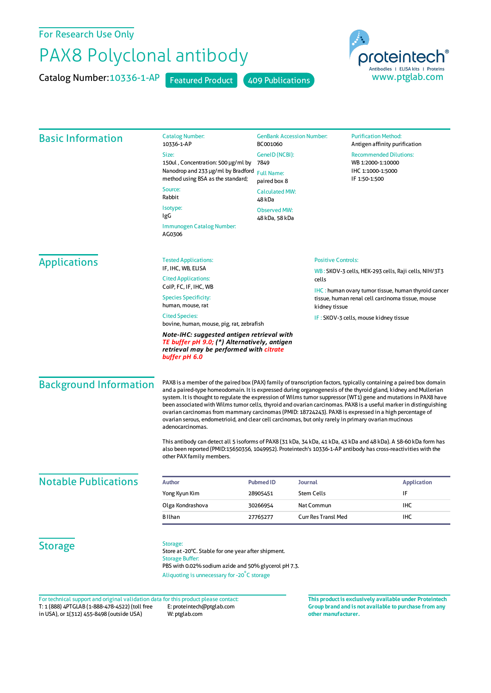For Research Use Only

## PAX8 Polyclonal antibody

Catalog Number: 10336-1-AP Featured Product 409 Publications



| <b>Basic Information</b>      | <b>Catalog Number:</b><br>10336-1-AP                                                                                                                                                                                                                                                                                                                                                                                                                                                                                                                                                                                                                                                                                | <b>GenBank Accession Number:</b><br>BC001060 |                                       | <b>Purification Method:</b><br>Antigen affinity purification                                                                                                                                                                        |  |
|-------------------------------|---------------------------------------------------------------------------------------------------------------------------------------------------------------------------------------------------------------------------------------------------------------------------------------------------------------------------------------------------------------------------------------------------------------------------------------------------------------------------------------------------------------------------------------------------------------------------------------------------------------------------------------------------------------------------------------------------------------------|----------------------------------------------|---------------------------------------|-------------------------------------------------------------------------------------------------------------------------------------------------------------------------------------------------------------------------------------|--|
|                               | Size:                                                                                                                                                                                                                                                                                                                                                                                                                                                                                                                                                                                                                                                                                                               | GeneID (NCBI):                               |                                       | <b>Recommended Dilutions:</b>                                                                                                                                                                                                       |  |
|                               | 150ul, Concentration: 500 µg/ml by                                                                                                                                                                                                                                                                                                                                                                                                                                                                                                                                                                                                                                                                                  | 7849                                         |                                       | WB 1:2000-1:10000                                                                                                                                                                                                                   |  |
|                               | Nanodrop and 233 µg/ml by Bradford<br>method using BSA as the standard;                                                                                                                                                                                                                                                                                                                                                                                                                                                                                                                                                                                                                                             | <b>Full Name:</b><br>paired box 8            |                                       | IHC 1:1000-1:5000<br>IF 1:50-1:500                                                                                                                                                                                                  |  |
|                               | Source:<br>Rabbit                                                                                                                                                                                                                                                                                                                                                                                                                                                                                                                                                                                                                                                                                                   | <b>Calculated MW:</b><br>48 kDa              |                                       |                                                                                                                                                                                                                                     |  |
|                               | Isotype:<br>IgG                                                                                                                                                                                                                                                                                                                                                                                                                                                                                                                                                                                                                                                                                                     | <b>Observed MW:</b><br>48 kDa, 58 kDa        |                                       |                                                                                                                                                                                                                                     |  |
|                               | Immunogen Catalog Number:<br>AG0306                                                                                                                                                                                                                                                                                                                                                                                                                                                                                                                                                                                                                                                                                 |                                              |                                       |                                                                                                                                                                                                                                     |  |
| <b>Applications</b>           | <b>Tested Applications:</b>                                                                                                                                                                                                                                                                                                                                                                                                                                                                                                                                                                                                                                                                                         |                                              | <b>Positive Controls:</b>             |                                                                                                                                                                                                                                     |  |
|                               | IF, IHC, WB, ELISA<br><b>Cited Applications:</b>                                                                                                                                                                                                                                                                                                                                                                                                                                                                                                                                                                                                                                                                    | cells                                        |                                       | WB: SKOV-3 cells, HEK-293 cells, Raji cells, NIH/3T3                                                                                                                                                                                |  |
|                               | ColP, FC, IF, IHC, WB                                                                                                                                                                                                                                                                                                                                                                                                                                                                                                                                                                                                                                                                                               |                                              |                                       | <b>IHC</b> : human ovary tumor tissue, human thyroid cancer                                                                                                                                                                         |  |
|                               | <b>Species Specificity:</b><br>human, mouse, rat                                                                                                                                                                                                                                                                                                                                                                                                                                                                                                                                                                                                                                                                    |                                              | kidney tissue                         | tissue, human renal cell carcinoma tissue, mouse                                                                                                                                                                                    |  |
|                               | <b>Cited Species:</b>                                                                                                                                                                                                                                                                                                                                                                                                                                                                                                                                                                                                                                                                                               |                                              | IF: SKOV-3 cells, mouse kidney tissue |                                                                                                                                                                                                                                     |  |
|                               | bovine, human, mouse, pig, rat, zebrafish                                                                                                                                                                                                                                                                                                                                                                                                                                                                                                                                                                                                                                                                           |                                              |                                       |                                                                                                                                                                                                                                     |  |
|                               | Note-IHC: suggested antigen retrieval with<br>TE buffer pH 9.0; (*) Alternatively, antigen<br>retrieval may be performed with citrate<br>buffer pH 6.0                                                                                                                                                                                                                                                                                                                                                                                                                                                                                                                                                              |                                              |                                       |                                                                                                                                                                                                                                     |  |
| <b>Background Information</b> | PAX8 is a member of the paired box (PAX) family of transcription factors, typically containing a paired box domain<br>and a paired-type homeodomain. It is expressed during organogenesis of the thyroid gland, kidney and Mullerian<br>system. It is thought to regulate the expression of Wilms tumor suppressor (WT1) gene and mutations in PAX8 have<br>been associated with Wilms tumor cells, thyroid and ovarian carcinomas. PAX8 is a useful marker in distinguishing<br>ovarian carcinomas from mammary carcinomas (PMID: 18724243). PAX8 is expressed in a high percentage of<br>ovarian serous, endometrioid, and clear cell carcinomas, but only rarely in primary ovarian mucinous<br>adenocarcinomas. |                                              |                                       |                                                                                                                                                                                                                                     |  |
|                               | other PAX family members.                                                                                                                                                                                                                                                                                                                                                                                                                                                                                                                                                                                                                                                                                           |                                              |                                       | This antibody can detect all 5 isoforms of PAX8 (31 kDa, 34 kDa, 41 kDa, 43 kDa and 48 kDa). A 58-60 kDa form has<br>also been reported (PMID:15650356, 1049952). Proteintech's 10336-1-AP antibody has cross-reactivities with the |  |
| <b>Notable Publications</b>   | <b>Author</b>                                                                                                                                                                                                                                                                                                                                                                                                                                                                                                                                                                                                                                                                                                       | <b>Pubmed ID</b>                             | <b>Journal</b>                        | <b>Application</b>                                                                                                                                                                                                                  |  |
|                               | Yong Kyun Kim                                                                                                                                                                                                                                                                                                                                                                                                                                                                                                                                                                                                                                                                                                       | 28905451                                     | <b>Stem Cells</b>                     | IF                                                                                                                                                                                                                                  |  |
|                               | Olga Kondrashova                                                                                                                                                                                                                                                                                                                                                                                                                                                                                                                                                                                                                                                                                                    | 30266954                                     | Nat Commun                            | IHC                                                                                                                                                                                                                                 |  |
|                               | <b>B</b> Ilhan                                                                                                                                                                                                                                                                                                                                                                                                                                                                                                                                                                                                                                                                                                      | 27765277                                     | <b>Curr Res Transl Med</b>            | IHC                                                                                                                                                                                                                                 |  |
| <b>Storage</b>                | Storage:<br>Store at -20°C. Stable for one year after shipment.<br><b>Storage Buffer:</b><br>PBS with 0.02% sodium azide and 50% glycerol pH 7.3.<br>Aliquoting is unnecessary for -20°C storage                                                                                                                                                                                                                                                                                                                                                                                                                                                                                                                    |                                              |                                       |                                                                                                                                                                                                                                     |  |

T: 1 (888) 4PTGLAB (1-888-478-4522) (toll free in USA), or 1(312) 455-8498 (outside USA) E: proteintech@ptglab.com W: ptglab.com Fortechnical support and original validation data forthis product please contact: **This productis exclusively available under Proteintech** **Group brand and is not available to purchase from any other manufacturer.**